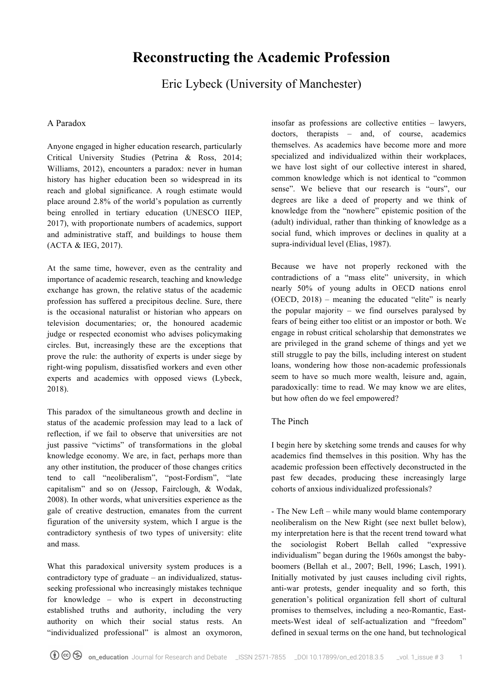# **Reconstructing the Academic Profession**

Eric Lybeck (University of Manchester)

### A Paradox

Anyone engaged in higher education research, particularly Critical University Studies (Petrina & Ross, 2014; Williams, 2012), encounters a paradox: never in human history has higher education been so widespread in its reach and global significance. A rough estimate would place around 2.8% of the world's population as currently being enrolled in tertiary education (UNESCO IIEP, 2017), with proportionate numbers of academics, support and administrative staff, and buildings to house them (ACTA & IEG, 2017).

At the same time, however, even as the centrality and importance of academic research, teaching and knowledge exchange has grown, the relative status of the academic profession has suffered a precipitous decline. Sure, there is the occasional naturalist or historian who appears on television documentaries; or, the honoured academic judge or respected economist who advises policymaking circles. But, increasingly these are the exceptions that prove the rule: the authority of experts is under siege by right-wing populism, dissatisfied workers and even other experts and academics with opposed views (Lybeck, 2018).

This paradox of the simultaneous growth and decline in status of the academic profession may lead to a lack of reflection, if we fail to observe that universities are not just passive "victims" of transformations in the global knowledge economy. We are, in fact, perhaps more than any other institution, the producer of those changes critics tend to call "neoliberalism", "post-Fordism", "late capitalism" and so on (Jessop, Fairclough, & Wodak, 2008). In other words, what universities experience as the gale of creative destruction, emanates from the current figuration of the university system, which I argue is the contradictory synthesis of two types of university: elite and mass.

What this paradoxical university system produces is a contradictory type of graduate – an individualized, statusseeking professional who increasingly mistakes technique for knowledge – who is expert in deconstructing established truths and authority, including the very authority on which their social status rests. An "individualized professional" is almost an oxymoron,

insofar as professions are collective entities – lawyers, doctors, therapists – and, of course, academics themselves. As academics have become more and more specialized and individualized within their workplaces, we have lost sight of our collective interest in shared, common knowledge which is not identical to "common sense". We believe that our research is "ours", our degrees are like a deed of property and we think of knowledge from the "nowhere" epistemic position of the (adult) individual, rather than thinking of knowledge as a social fund, which improves or declines in quality at a supra-individual level (Elias, 1987).

Because we have not properly reckoned with the contradictions of a "mass elite" university, in which nearly 50% of young adults in OECD nations enrol (OECD, 2018) – meaning the educated "elite" is nearly the popular majority – we find ourselves paralysed by fears of being either too elitist or an impostor or both. We engage in robust critical scholarship that demonstrates we are privileged in the grand scheme of things and yet we still struggle to pay the bills, including interest on student loans, wondering how those non-academic professionals seem to have so much more wealth, leisure and, again, paradoxically: time to read. We may know we are elites, but how often do we feel empowered?

# The Pinch

I begin here by sketching some trends and causes for why academics find themselves in this position. Why has the academic profession been effectively deconstructed in the past few decades, producing these increasingly large cohorts of anxious individualized professionals?

- The New Left – while many would blame contemporary neoliberalism on the New Right (see next bullet below), my interpretation here is that the recent trend toward what the sociologist Robert Bellah called "expressive individualism" began during the 1960s amongst the babyboomers (Bellah et al., 2007; Bell, 1996; Lasch, 1991). Initially motivated by just causes including civil rights, anti-war protests, gender inequality and so forth, this generation's political organization fell short of cultural promises to themselves, including a neo-Romantic, Eastmeets-West ideal of self-actualization and "freedom" defined in sexual terms on the one hand, but technological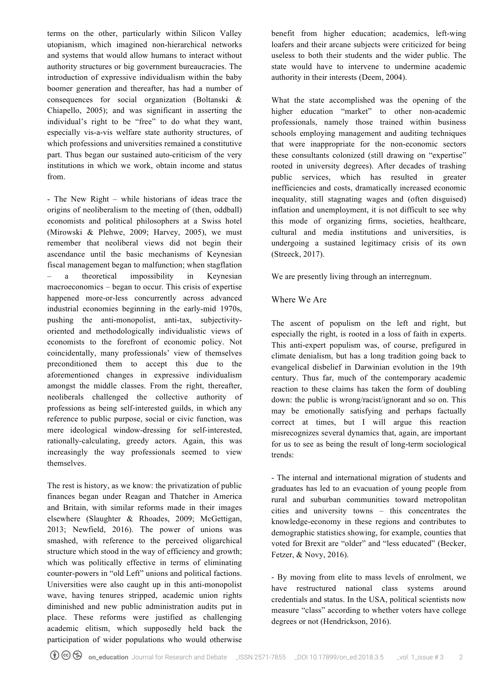terms on the other, particularly within Silicon Valley utopianism, which imagined non-hierarchical networks and systems that would allow humans to interact without authority structures or big government bureaucracies. The introduction of expressive individualism within the baby boomer generation and thereafter, has had a number of consequences for social organization (Boltanski & Chiapello, 2005); and was significant in asserting the individual's right to be "free" to do what they want, especially vis-a-vis welfare state authority structures, of which professions and universities remained a constitutive part. Thus began our sustained auto-criticism of the very institutions in which we work, obtain income and status from.

- The New Right – while historians of ideas trace the origins of neoliberalism to the meeting of (then, oddball) economists and political philosophers at a Swiss hotel (Mirowski & Plehwe, 2009; Harvey, 2005), we must remember that neoliberal views did not begin their ascendance until the basic mechanisms of Keynesian fiscal management began to malfunction; when stagflation – a theoretical impossibility in Keynesian macroeconomics – began to occur. This crisis of expertise happened more-or-less concurrently across advanced industrial economies beginning in the early-mid 1970s, pushing the anti-monopolist, anti-tax, subjectivityoriented and methodologically individualistic views of economists to the forefront of economic policy. Not coincidentally, many professionals' view of themselves preconditioned them to accept this due to the aforementioned changes in expressive individualism amongst the middle classes. From the right, thereafter, neoliberals challenged the collective authority of professions as being self-interested guilds, in which any reference to public purpose, social or civic function, was mere ideological window-dressing for self-interested, rationally-calculating, greedy actors. Again, this was increasingly the way professionals seemed to view themselves.

The rest is history, as we know: the privatization of public finances began under Reagan and Thatcher in America and Britain, with similar reforms made in their images elsewhere (Slaughter & Rhoades, 2009; McGettigan, 2013; Newfield, 2016). The power of unions was smashed, with reference to the perceived oligarchical structure which stood in the way of efficiency and growth; which was politically effective in terms of eliminating counter-powers in "old Left" unions and political factions. Universities were also caught up in this anti-monopolist wave, having tenures stripped, academic union rights diminished and new public administration audits put in place. These reforms were justified as challenging academic elitism, which supposedly held back the participation of wider populations who would otherwise benefit from higher education; academics, left-wing loafers and their arcane subjects were criticized for being useless to both their students and the wider public. The state would have to intervene to undermine academic authority in their interests (Deem, 2004).

What the state accomplished was the opening of the higher education "market" to other non-academic professionals, namely those trained within business schools employing management and auditing techniques that were inappropriate for the non-economic sectors these consultants colonized (still drawing on "expertise" rooted in university degrees). After decades of trashing public services, which has resulted in greater inefficiencies and costs, dramatically increased economic inequality, still stagnating wages and (often disguised) inflation and unemployment, it is not difficult to see why this mode of organizing firms, societies, healthcare, cultural and media institutions and universities, is undergoing a sustained legitimacy crisis of its own (Streeck, 2017).

We are presently living through an interregnum.

# Where We Are

The ascent of populism on the left and right, but especially the right, is rooted in a loss of faith in experts. This anti-expert populism was, of course, prefigured in climate denialism, but has a long tradition going back to evangelical disbelief in Darwinian evolution in the 19th century. Thus far, much of the contemporary academic reaction to these claims has taken the form of doubling down: the public is wrong/racist/ignorant and so on. This may be emotionally satisfying and perhaps factually correct at times, but I will argue this reaction misrecognizes several dynamics that, again, are important for us to see as being the result of long-term sociological trends:

- The internal and international migration of students and graduates has led to an evacuation of young people from rural and suburban communities toward metropolitan cities and university towns – this concentrates the knowledge-economy in these regions and contributes to demographic statistics showing, for example, counties that voted for Brexit are "older" and "less educated" (Becker, Fetzer, & Novy, 2016).

- By moving from elite to mass levels of enrolment, we have restructured national class systems around credentials and status. In the USA, political scientists now measure "class" according to whether voters have college degrees or not (Hendrickson, 2016).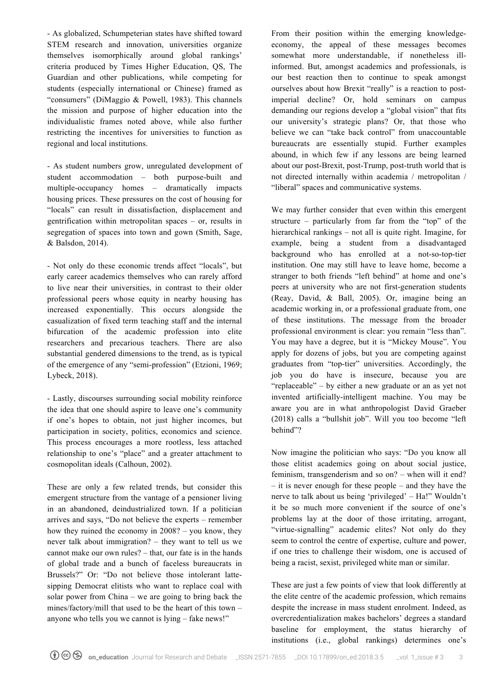- As globalized, Schumpeterian states have shifted toward STEM research and innovation, universities organize themselves isomorphically around global rankings' criteria produced by Times Higher Education, QS, The Guardian and other publications, while competing for students (especially international or Chinese) framed as "consumers" (DiMaggio & Powell, 1983). This channels the mission and purpose of higher education into the individualistic frames noted above, while also further restricting the incentives for universities to function as regional and local institutions.

- As student numbers grow, unregulated development of student accommodation – both purpose-built and multiple-occupancy homes – dramatically impacts housing prices. These pressures on the cost of housing for "locals" can result in dissatisfaction, displacement and gentrification within metropolitan spaces – or, results in segregation of spaces into town and gown (Smith, Sage, & Balsdon, 2014).

- Not only do these economic trends affect "locals", but early career academics themselves who can rarely afford to live near their universities, in contrast to their older professional peers whose equity in nearby housing has increased exponentially. This occurs alongside the casualization of fixed term teaching staff and the internal bifurcation of the academic profession into elite researchers and precarious teachers. There are also substantial gendered dimensions to the trend, as is typical of the emergence of any "semi-profession" (Etzioni, 1969; Lybeck, 2018).

- Lastly, discourses surrounding social mobility reinforce the idea that one should aspire to leave one's community if one's hopes to obtain, not just higher incomes, but participation in society, politics, economics and science. This process encourages a more rootless, less attached relationship to one's "place" and a greater attachment to cosmopolitan ideals (Calhoun, 2002).

These are only a few related trends, but consider this emergent structure from the vantage of a pensioner living in an abandoned, deindustrialized town. If a politician arrives and says, "Do not believe the experts – remember how they ruined the economy in 2008? – you know, they never talk about immigration? – they want to tell us we cannot make our own rules? – that, our fate is in the hands of global trade and a bunch of faceless bureaucrats in Brussels?" Or: "Do not believe those intolerant lattesipping Democrat elitists who want to replace coal with solar power from China – we are going to bring back the mines/factory/mill that used to be the heart of this town – anyone who tells you we cannot is lying – fake news!"

From their position within the emerging knowledgeeconomy, the appeal of these messages becomes somewhat more understandable, if nonetheless illinformed. But, amongst academics and professionals, is our best reaction then to continue to speak amongst ourselves about how Brexit "really" is a reaction to postimperial decline? Or, hold seminars on campus demanding our regions develop a "global vision" that fits our university's strategic plans? Or, that those who believe we can "take back control" from unaccountable bureaucrats are essentially stupid. Further examples abound, in which few if any lessons are being learned about our post-Brexit, post-Trump, post-truth world that is not directed internally within academia / metropolitan / "liberal" spaces and communicative systems.

We may further consider that even within this emergent structure – particularly from far from the "top" of the hierarchical rankings – not all is quite right. Imagine, for example, being a student from a disadvantaged background who has enrolled at a not-so-top-tier institution. One may still have to leave home, become a stranger to both friends "left behind" at home and one's peers at university who are not first-generation students (Reay, David, & Ball, 2005). Or, imagine being an academic working in, or a professional graduate from, one of these institutions. The message from the broader professional environment is clear: you remain "less than". You may have a degree, but it is "Mickey Mouse". You apply for dozens of jobs, but you are competing against graduates from "top-tier" universities. Accordingly, the job you do have is insecure, because you are "replaceable" – by either a new graduate or an as yet not invented artificially-intelligent machine. You may be aware you are in what anthropologist David Graeber (2018) calls a "bullshit job". Will you too become "left behind"?

Now imagine the politician who says: "Do you know all those elitist academics going on about social justice, feminism, transgenderism and so on? – when will it end? – it is never enough for these people – and they have the nerve to talk about us being 'privileged' – Ha!" Wouldn't it be so much more convenient if the source of one's problems lay at the door of those irritating, arrogant, "virtue-signalling" academic elites? Not only do they seem to control the centre of expertise, culture and power, if one tries to challenge their wisdom, one is accused of being a racist, sexist, privileged white man or similar.

These are just a few points of view that look differently at the elite centre of the academic profession, which remains despite the increase in mass student enrolment. Indeed, as overcredentialization makes bachelors' degrees a standard baseline for employment, the status hierarchy of institutions (i.e., global rankings) determines one's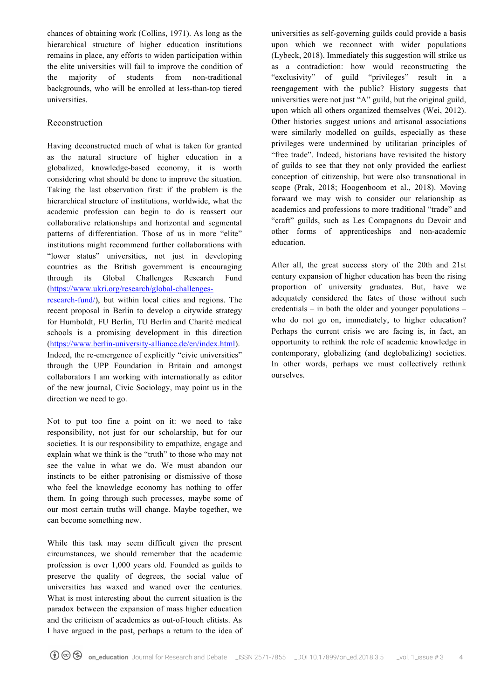chances of obtaining work (Collins, 1971). As long as the hierarchical structure of higher education institutions remains in place, any efforts to widen participation within the elite universities will fail to improve the condition of the majority of students from non-traditional backgrounds, who will be enrolled at less-than-top tiered universities.

### Reconstruction

Having deconstructed much of what is taken for granted as the natural structure of higher education in a globalized, knowledge-based economy, it is worth considering what should be done to improve the situation. Taking the last observation first: if the problem is the hierarchical structure of institutions, worldwide, what the academic profession can begin to do is reassert our collaborative relationships and horizontal and segmental patterns of differentiation. Those of us in more "elite" institutions might recommend further collaborations with "lower status" universities, not just in developing countries as the British government is encouraging through its Global Challenges Research Fund (https://www.ukri.org/research/global-challengesresearch-fund/), but within local cities and regions. The recent proposal in Berlin to develop a citywide strategy for Humboldt, FU Berlin, TU Berlin and Charité medical schools is a promising development in this direction (https://www.berlin-university-alliance.de/en/index.html). Indeed, the re-emergence of explicitly "civic universities" through the UPP Foundation in Britain and amongst collaborators I am working with internationally as editor of the new journal, Civic Sociology, may point us in the direction we need to go.

Not to put too fine a point on it: we need to take responsibility, not just for our scholarship, but for our societies. It is our responsibility to empathize, engage and explain what we think is the "truth" to those who may not see the value in what we do. We must abandon our instincts to be either patronising or dismissive of those who feel the knowledge economy has nothing to offer them. In going through such processes, maybe some of our most certain truths will change. Maybe together, we can become something new.

While this task may seem difficult given the present circumstances, we should remember that the academic profession is over 1,000 years old. Founded as guilds to preserve the quality of degrees, the social value of universities has waxed and waned over the centuries. What is most interesting about the current situation is the paradox between the expansion of mass higher education and the criticism of academics as out-of-touch elitists. As I have argued in the past, perhaps a return to the idea of universities as self-governing guilds could provide a basis upon which we reconnect with wider populations (Lybeck, 2018). Immediately this suggestion will strike us as a contradiction: how would reconstructing the "exclusivity" of guild "privileges" result in a reengagement with the public? History suggests that universities were not just "A" guild, but the original guild, upon which all others organized themselves (Wei, 2012). Other histories suggest unions and artisanal associations were similarly modelled on guilds, especially as these privileges were undermined by utilitarian principles of "free trade". Indeed, historians have revisited the history of guilds to see that they not only provided the earliest conception of citizenship, but were also transnational in scope (Prak, 2018; Hoogenboom et al., 2018). Moving forward we may wish to consider our relationship as academics and professions to more traditional "trade" and "craft" guilds, such as Les Compagnons du Devoir and other forms of apprenticeships and non-academic education.

After all, the great success story of the 20th and 21st century expansion of higher education has been the rising proportion of university graduates. But, have we adequately considered the fates of those without such credentials – in both the older and younger populations – who do not go on, immediately, to higher education? Perhaps the current crisis we are facing is, in fact, an opportunity to rethink the role of academic knowledge in contemporary, globalizing (and deglobalizing) societies. In other words, perhaps we must collectively rethink ourselves.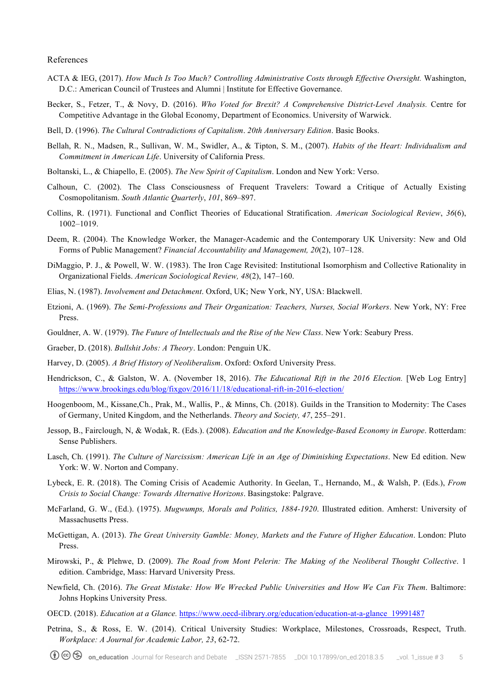#### References

- ACTA & IEG, (2017). *How Much Is Too Much? Controlling Administrative Costs through Effective Oversight.* Washington, D.C.: American Council of Trustees and Alumni | Institute for Effective Governance.
- Becker, S., Fetzer, T., & Novy, D. (2016). *Who Voted for Brexit? A Comprehensive District-Level Analysis.* Centre for Competitive Advantage in the Global Economy, Department of Economics. University of Warwick.
- Bell, D. (1996). *The Cultural Contradictions of Capitalism*. *20th Anniversary Edition*. Basic Books.
- Bellah, R. N., Madsen, R., Sullivan, W. M., Swidler, A., & Tipton, S. M., (2007). *Habits of the Heart: Individualism and Commitment in American Life*. University of California Press.
- Boltanski, L., & Chiapello, E. (2005). *The New Spirit of Capitalism*. London and New York: Verso.
- Calhoun, C. (2002). The Class Consciousness of Frequent Travelers: Toward a Critique of Actually Existing Cosmopolitanism. *South Atlantic Quarterly*, *101*, 869–897.
- Collins, R. (1971). Functional and Conflict Theories of Educational Stratification. *American Sociological Review*, *36*(6), 1002–1019.
- Deem, R. (2004). The Knowledge Worker, the Manager-Academic and the Contemporary UK University: New and Old Forms of Public Management? *Financial Accountability and Management, 20*(2), 107–128.
- DiMaggio, P. J., & Powell, W. W. (1983). The Iron Cage Revisited: Institutional Isomorphism and Collective Rationality in Organizational Fields. *American Sociological Review, 48*(2), 147–160.
- Elias, N. (1987). *Involvement and Detachment*. Oxford, UK; New York, NY, USA: Blackwell.
- Etzioni, A. (1969). *The Semi-Professions and Their Organization: Teachers, Nurses, Social Workers*. New York, NY: Free Press.
- Gouldner, A. W. (1979). *The Future of Intellectuals and the Rise of the New Class*. New York: Seabury Press.
- Graeber, D. (2018). *Bullshit Jobs: A Theory*. London: Penguin UK.
- Harvey, D. (2005). *A Brief History of Neoliberalism*. Oxford: Oxford University Press.
- Hendrickson, C., & Galston, W. A. (November 18, 2016). *The Educational Rift in the 2016 Election.* [Web Log Entry] https://www.brookings.edu/blog/fixgov/2016/11/18/educational-rift-in-2016-election/
- Hoogenboom, M., Kissane,Ch., Prak, M., Wallis, P., & Minns, Ch. (2018). Guilds in the Transition to Modernity: The Cases of Germany, United Kingdom, and the Netherlands. *Theory and Society, 47*, 255–291.
- Jessop, B., Fairclough, N, & Wodak, R. (Eds.). (2008). *Education and the Knowledge-Based Economy in Europe*. Rotterdam: Sense Publishers.
- Lasch, Ch. (1991). *The Culture of Narcissism: American Life in an Age of Diminishing Expectations*. New Ed edition. New York: W. W. Norton and Company.
- Lybeck, E. R. (2018). The Coming Crisis of Academic Authority. In Geelan, T., Hernando, M., & Walsh, P. (Eds.), *From Crisis to Social Change: Towards Alternative Horizons*. Basingstoke: Palgrave.
- McFarland, G. W., (Ed.). (1975). *Mugwumps, Morals and Politics, 1884-1920*. Illustrated edition. Amherst: University of Massachusetts Press.
- McGettigan, A. (2013). *The Great University Gamble: Money, Markets and the Future of Higher Education*. London: Pluto Press.
- Mirowski, P., & Plehwe, D. (2009). *The Road from Mont Pelerin: The Making of the Neoliberal Thought Collective*. 1 edition. Cambridge, Mass: Harvard University Press.
- Newfield, Ch. (2016). *The Great Mistake: How We Wrecked Public Universities and How We Can Fix Them*. Baltimore: Johns Hopkins University Press.
- OECD. (2018). *Education at a Glance.* https://www.oecd-ilibrary.org/education/education-at-a-glance\_19991487
- Petrina, S., & Ross, E. W. (2014). Critical University Studies: Workplace, Milestones, Crossroads, Respect, Truth. *Workplace: A Journal for Academic Labor, 23*, 62-72.